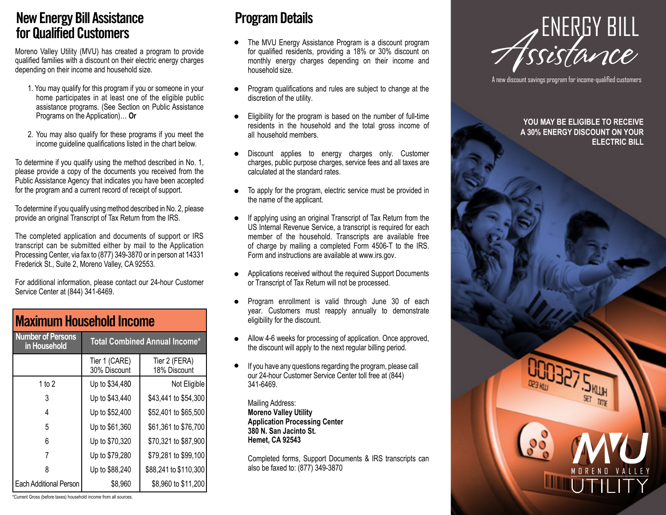#### **New Energy Bill Assistance for Qualified Customers**

Moreno Valley Utility (MVU) has created a program to provide qualified families with a discount on their electric energy charges depending on their income and household size.

- 1. You may qualify for this program if you or someone in your home participates in at least one of the eligible public assistance programs. (See Section on Public Assistance Programs on the Application)… **Or**
- 2. You may also qualify for these programs if you meet the income guideline qualifications listed in the chart below.

To determine if you qualify using the method described in No. 1, please provide a copy of the documents you received from the Public Assistance Agency that indicates you have been accepted for the program and a current record of receipt of support.

To determine if you qualify using method described in No. 2, please provide an original Transcript of Tax Return from the IRS.

The completed application and documents of support or IRS transcript can be submitted either by mail to the Application Processing Center, via fax to (877) 349-3870 or in person at 14331 Frederick St., Suite 2, Moreno Valley, CA 92553.

For additional information, please contact our 24-hour Customer Service Center at (844) 341-6469.

| <b>Maximum Household Income</b>          |                               |                                      |
|------------------------------------------|-------------------------------|--------------------------------------|
| <b>Number of Persons</b><br>in Household |                               | <b>Total Combined Annual Income*</b> |
|                                          | Tier 1 (CARE)<br>30% Discount | Tier 2 (FERA)<br>18% Discount        |
| 1 to $2$                                 | Up to \$34,480                | Not Eligible                         |
| 3                                        | Up to \$43,440                | \$43,441 to \$54,300                 |
| 4                                        | Up to \$52,400                | \$52,401 to \$65,500                 |
| 5                                        | Up to \$61,360                | \$61,361 to \$76,700                 |
| 6                                        | Up to \$70,320                | \$70,321 to \$87,900                 |
|                                          | Up to \$79,280                | \$79,281 to \$99,100                 |
| 8                                        | Up to \$88,240                | \$88,241 to \$110,300                |
| <b>Each Additional Person</b>            | \$8,960                       | \$8,960 to \$11,200                  |

#### **Program Details**

- The MVU Energy Assistance Program is a discount program for qualified residents, providing a 18% or 30% discount on monthly energy charges depending on their income and household size.  $\bullet$
- Program qualifications and rules are subject to change at the discretion of the utility.  $\bullet$
- Eligibility for the program is based on the number of full-time residents in the household and the total gross income of all household members.  $\bullet$
- Discount applies to energy charges only. Customer charges, public purpose charges, service fees and all taxes are calculated at the standard rates.  $\bullet$
- To apply for the program, electric service must be provided in the name of the applicant.  $\bullet$
- If applying using an original Transcript of Tax Return from the US Internal Revenue Service, a transcript is required for each member of the household. Transcripts are available free of charge by mailing a completed Form 4506-T to the IRS. Form and instructions are available at www.irs.gov.  $\bullet$
- Applications received without the required Support Documents or Transcript of Tax Return will not be processed.
- Program enrollment is valid through June 30 of each year. Customers must reapply annually to demonstrate eligibility for the discount.  $\bullet$
- Allow 4-6 weeks for processing of application. Once approved, the discount will apply to the next regular billing period.
- If you have any questions regarding the program, please call our 24-hour Customer Service Center toll free at (844) 341-6469.

Mailing Address: **Moreno Valley Utility Application Processing Center 380 N. San Jacinto St. Hemet, CA 92543**

Completed forms, Support Documents & IRS transcripts can also be faxed to: (877) 349-3870



A new discount savings program for income-qualified customers

#### **YOU MAY BE ELIGIBLE TO RECEIVE A** 3**0% ENERGY DISCOUNT ON YOUR ELECTRIC BILL**



UTILIT

\*Current Gross (before taxes) household income from all sources.